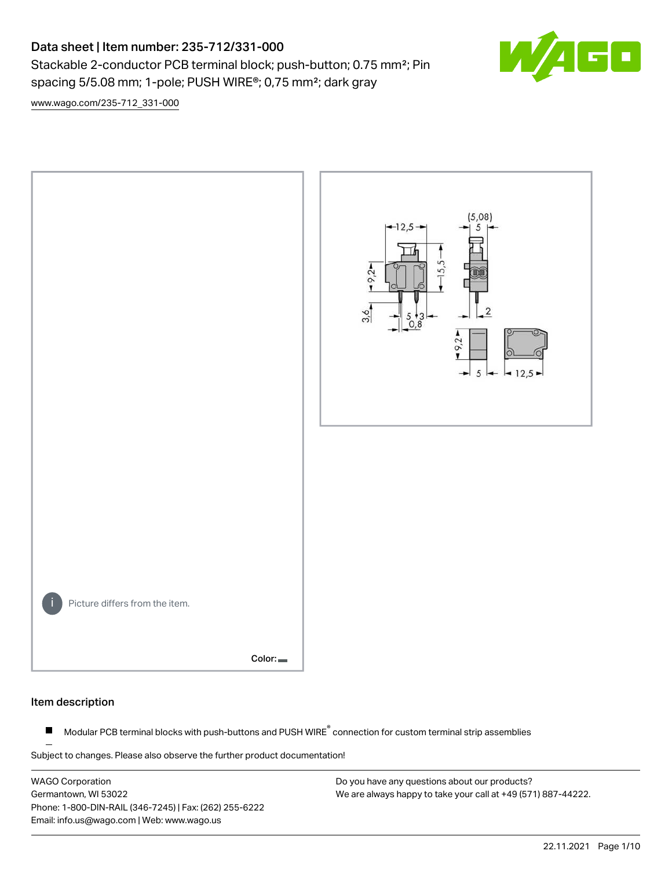# Data sheet | Item number: 235-712/331-000 Stackable 2-conductor PCB terminal block; push-button; 0.75 mm<sup>2</sup>; Pin spacing 5/5.08 mm; 1-pole; PUSH WIRE®; 0,75 mm²; dark gray



[www.wago.com/235-712\\_331-000](http://www.wago.com/235-712_331-000)



### Item description

Modular PCB terminal blocks with push-buttons and PUSH WIRE<sup>®</sup> connection for custom terminal strip assemblies  $\blacksquare$ 

Subject to changes. Please also observe the further product documentation!

WAGO Corporation Germantown, WI 53022 Phone: 1-800-DIN-RAIL (346-7245) | Fax: (262) 255-6222 Email: info.us@wago.com | Web: www.wago.us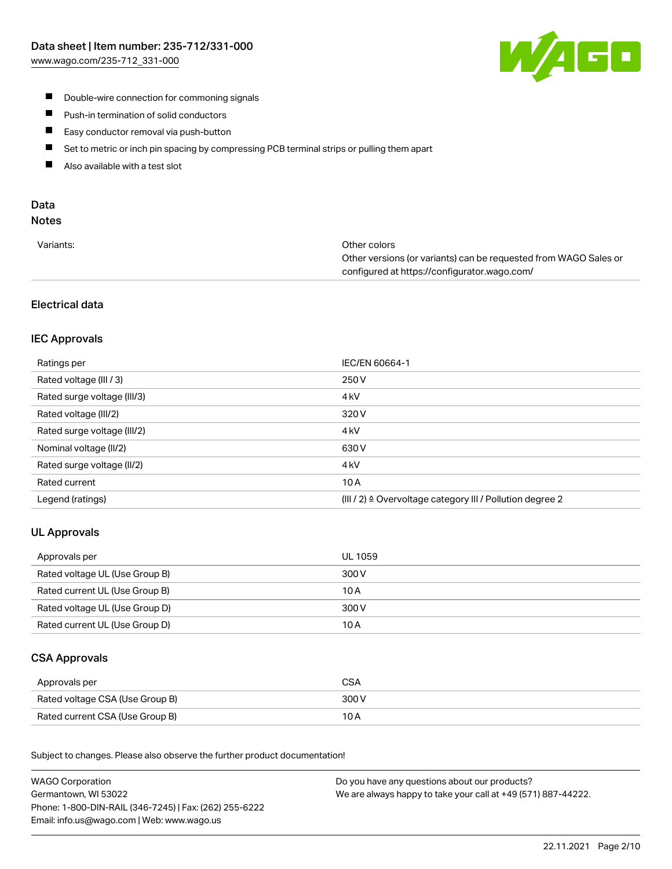

- **Double-wire connection for commoning signals**
- $\blacksquare$ Push-in termination of solid conductors
- Easy conductor removal via push-button  $\blacksquare$
- $\blacksquare$ Set to metric or inch pin spacing by compressing PCB terminal strips or pulling them apart
- $\blacksquare$ Also available with a test slot

# Data

# Notes

| Variants: | Other colors                                                     |
|-----------|------------------------------------------------------------------|
|           | Other versions (or variants) can be requested from WAGO Sales or |
|           | configured at https://configurator.wago.com/                     |

# Electrical data

# IEC Approvals

| Ratings per                 | IEC/EN 60664-1                                                       |
|-----------------------------|----------------------------------------------------------------------|
| Rated voltage (III / 3)     | 250 V                                                                |
| Rated surge voltage (III/3) | 4 <sub>k</sub> V                                                     |
| Rated voltage (III/2)       | 320 V                                                                |
| Rated surge voltage (III/2) | 4 <sub>k</sub> V                                                     |
| Nominal voltage (II/2)      | 630 V                                                                |
| Rated surge voltage (II/2)  | 4 <sub>k</sub> V                                                     |
| Rated current               | 10A                                                                  |
| Legend (ratings)            | (III / 2) $\triangleq$ Overvoltage category III / Pollution degree 2 |

# UL Approvals

| Approvals per                  | UL 1059 |
|--------------------------------|---------|
| Rated voltage UL (Use Group B) | 300 V   |
| Rated current UL (Use Group B) | 10 A    |
| Rated voltage UL (Use Group D) | 300 V   |
| Rated current UL (Use Group D) | 10 A    |

### CSA Approvals

| Approvals per                   |       |
|---------------------------------|-------|
| Rated voltage CSA (Use Group B) | 300 V |
| Rated current CSA (Use Group B) | 10 A  |

.<br>Subject to changes. Please also observe the further product documentation!

| <b>WAGO Corporation</b>                                | Do you have any questions about our products?                 |
|--------------------------------------------------------|---------------------------------------------------------------|
| Germantown, WI 53022                                   | We are always happy to take your call at +49 (571) 887-44222. |
| Phone: 1-800-DIN-RAIL (346-7245)   Fax: (262) 255-6222 |                                                               |
| Email: info.us@wago.com   Web: www.wago.us             |                                                               |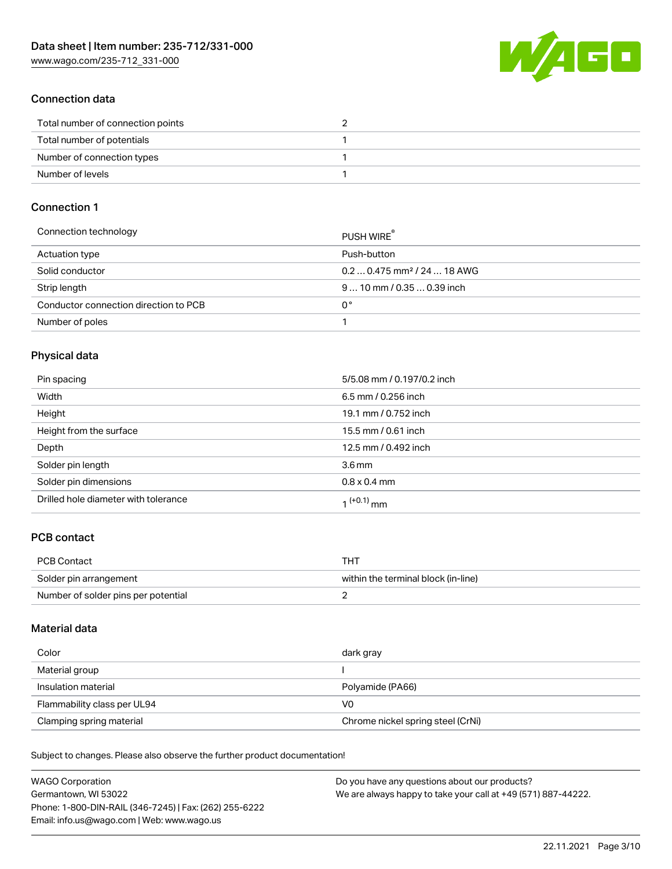W/4GO

### Connection data

| Total number of connection points |  |
|-----------------------------------|--|
| Total number of potentials        |  |
| Number of connection types        |  |
| Number of levels                  |  |

## Connection 1

| Connection technology                 | PUSH WIRE                               |
|---------------------------------------|-----------------------------------------|
| Actuation type                        | Push-button                             |
| Solid conductor                       | $0.20.475$ mm <sup>2</sup> / 24  18 AWG |
| Strip length                          | $910$ mm $/0.350.39$ inch               |
| Conductor connection direction to PCB | 0°                                      |
| Number of poles                       |                                         |

# Physical data

| Pin spacing                          | 5/5.08 mm / 0.197/0.2 inch |
|--------------------------------------|----------------------------|
| Width                                | 6.5 mm / 0.256 inch        |
| Height                               | 19.1 mm / 0.752 inch       |
| Height from the surface              | 15.5 mm / 0.61 inch        |
| Depth                                | 12.5 mm / 0.492 inch       |
| Solder pin length                    | 3.6 <sub>mm</sub>          |
| Solder pin dimensions                | $0.8 \times 0.4$ mm        |
| Drilled hole diameter with tolerance | 1 <sup>(+0.1)</sup> mm     |

# PCB contact

| <b>PCB Contact</b>                  | THT                                 |
|-------------------------------------|-------------------------------------|
| Solder pin arrangement              | within the terminal block (in-line) |
| Number of solder pins per potential |                                     |

### Material data

| Color                       | dark gray                         |
|-----------------------------|-----------------------------------|
| Material group              |                                   |
| Insulation material         | Polyamide (PA66)                  |
| Flammability class per UL94 | V0                                |
| Clamping spring material    | Chrome nickel spring steel (CrNi) |

Subject to changes. Please also observe the further product documentation!

| <b>WAGO Corporation</b>                                | Do you have any questions about our products?                 |
|--------------------------------------------------------|---------------------------------------------------------------|
| Germantown, WI 53022                                   | We are always happy to take your call at +49 (571) 887-44222. |
| Phone: 1-800-DIN-RAIL (346-7245)   Fax: (262) 255-6222 |                                                               |
| Email: info.us@wago.com   Web: www.wago.us             |                                                               |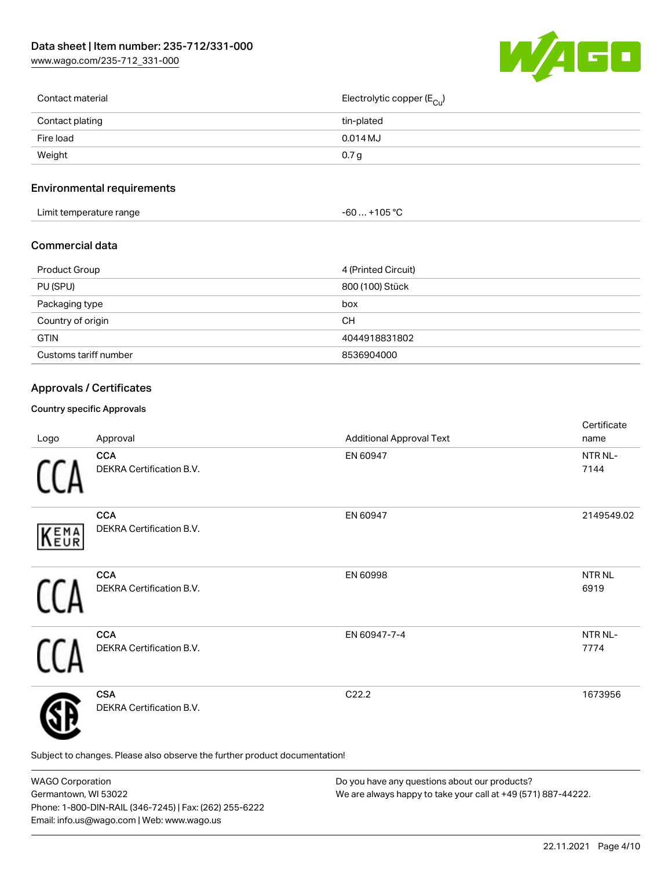[www.wago.com/235-712\\_331-000](http://www.wago.com/235-712_331-000)



| Contact material | Electrolytic copper (E <sub>Cu</sub> ) |
|------------------|----------------------------------------|
| Contact plating  | tin-plated                             |
| Fire load        | $0.014$ MJ                             |
| Weight           | 0.7 <sub>g</sub>                       |
|                  |                                        |

# Environmental requirements

| .<br>t temperature range<br>∟imit ′<br>. . | ے محمد۔<br>$-60$<br>י ∪∪ - |  |
|--------------------------------------------|----------------------------|--|
|--------------------------------------------|----------------------------|--|

### Commercial data

| Product Group         | 4 (Printed Circuit) |
|-----------------------|---------------------|
| PU (SPU)              | 800 (100) Stück     |
| Packaging type        | box                 |
| Country of origin     | CН                  |
| <b>GTIN</b>           | 4044918831802       |
| Customs tariff number | 8536904000          |

# Approvals / Certificates

### Country specific Approvals

| Logo | Approval                                                                   | <b>Additional Approval Text</b> | Certificate<br>name  |
|------|----------------------------------------------------------------------------|---------------------------------|----------------------|
|      | <b>CCA</b><br>DEKRA Certification B.V.                                     | EN 60947                        | NTR NL-<br>7144      |
| KEMA | <b>CCA</b><br><b>DEKRA Certification B.V.</b>                              | EN 60947                        | 2149549.02           |
|      | <b>CCA</b><br>DEKRA Certification B.V.                                     | EN 60998                        | <b>NTRNL</b><br>6919 |
|      | <b>CCA</b><br>DEKRA Certification B.V.                                     | EN 60947-7-4                    | NTR NL-<br>7774      |
|      | <b>CSA</b><br>DEKRA Certification B.V.                                     | C22.2                           | 1673956              |
|      | Subject to changes. Please also observe the further product documentation! |                                 |                      |

WAGO Corporation Germantown, WI 53022 Phone: 1-800-DIN-RAIL (346-7245) | Fax: (262) 255-6222 Email: info.us@wago.com | Web: www.wago.us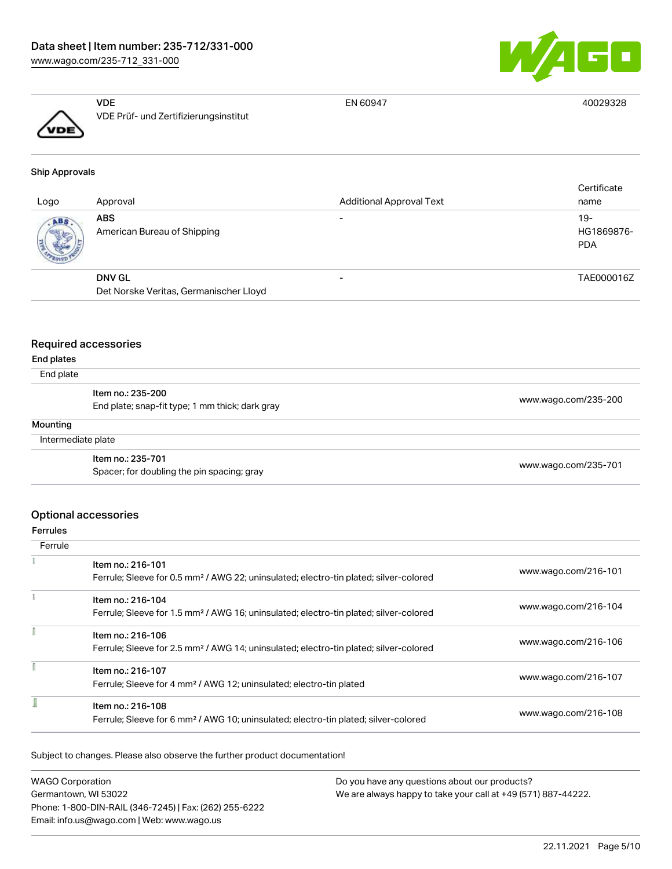



VDE VDE Prüf- und Zertifizierungsinstitut

EN 60947 40029328

### Ship Approvals

| Logo | Approval                                  | <b>Additional Approval Text</b> | Certificate<br>name               |
|------|-------------------------------------------|---------------------------------|-----------------------------------|
| ABS  | <b>ABS</b><br>American Bureau of Shipping |                                 | $19-$<br>HG1869876-<br><b>PDA</b> |
|      | <b>DNV GL</b>                             | -                               | TAE000016Z                        |
|      | Det Norske Veritas, Germanischer Lloyd    |                                 |                                   |

### Required accessories

### End plates

### End plate

| End plate          |                                                                      |                      |
|--------------------|----------------------------------------------------------------------|----------------------|
|                    | Item no.: 235-200<br>End plate; snap-fit type; 1 mm thick; dark gray | www.wago.com/235-200 |
| Mounting           |                                                                      |                      |
| Intermediate plate |                                                                      |                      |
|                    | Item no.: 235-701                                                    | www.wago.com/235-701 |
|                    | Spacer; for doubling the pin spacing; gray                           |                      |

### Optional accessories

### Ferrules

| Ferrule |                                                                                                                        |                      |
|---------|------------------------------------------------------------------------------------------------------------------------|----------------------|
|         | Item no.: 216-101<br>Ferrule; Sleeve for 0.5 mm <sup>2</sup> / AWG 22; uninsulated; electro-tin plated; silver-colored | www.wago.com/216-101 |
|         | Item no.: 216-104<br>Ferrule; Sleeve for 1.5 mm <sup>2</sup> / AWG 16; uninsulated; electro-tin plated; silver-colored | www.wago.com/216-104 |
|         | Item no.: 216-106<br>Ferrule; Sleeve for 2.5 mm <sup>2</sup> / AWG 14; uninsulated; electro-tin plated; silver-colored | www.wago.com/216-106 |
|         | Item no.: 216-107<br>Ferrule; Sleeve for 4 mm <sup>2</sup> / AWG 12; uninsulated; electro-tin plated                   | www.wago.com/216-107 |
|         | Item no.: 216-108<br>Ferrule; Sleeve for 6 mm <sup>2</sup> / AWG 10; uninsulated; electro-tin plated; silver-colored   | www.wago.com/216-108 |

Subject to changes. Please also observe the further product documentation!

| <b>WAGO Corporation</b>                                | Do you have any questions about our products?                 |
|--------------------------------------------------------|---------------------------------------------------------------|
| Germantown, WI 53022                                   | We are always happy to take your call at +49 (571) 887-44222. |
| Phone: 1-800-DIN-RAIL (346-7245)   Fax: (262) 255-6222 |                                                               |
| Email: info.us@wago.com   Web: www.wago.us             |                                                               |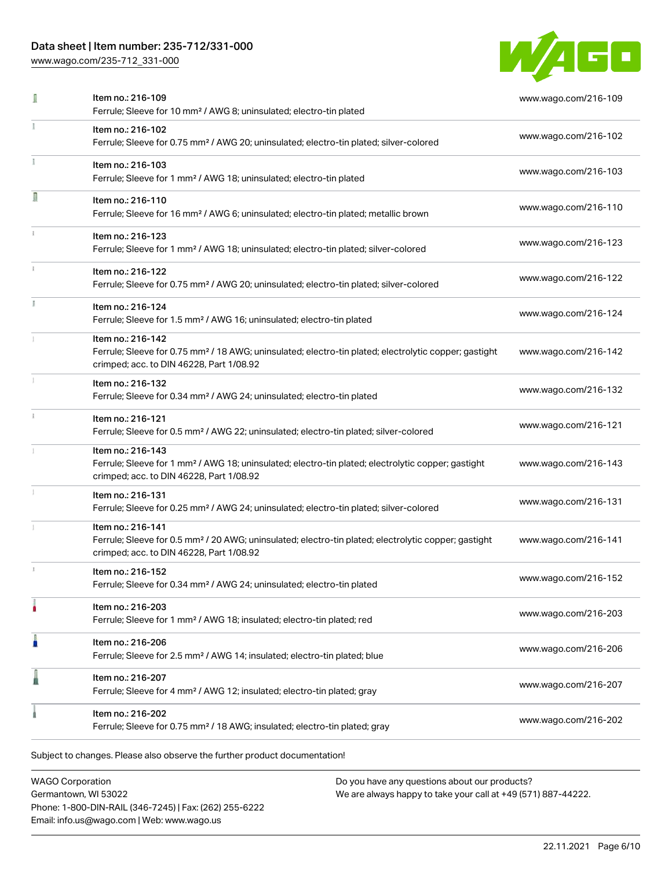# Data sheet | Item number: 235-712/331-000

[www.wago.com/235-712\\_331-000](http://www.wago.com/235-712_331-000)



|    | Item no.: 216-109<br>Ferrule; Sleeve for 10 mm <sup>2</sup> / AWG 8; uninsulated; electro-tin plated                                                                               | www.wago.com/216-109 |
|----|------------------------------------------------------------------------------------------------------------------------------------------------------------------------------------|----------------------|
|    | Item no.: 216-102<br>Ferrule; Sleeve for 0.75 mm <sup>2</sup> / AWG 20; uninsulated; electro-tin plated; silver-colored                                                            | www.wago.com/216-102 |
|    | Item no.: 216-103<br>Ferrule; Sleeve for 1 mm <sup>2</sup> / AWG 18; uninsulated; electro-tin plated                                                                               | www.wago.com/216-103 |
| I  | Item no.: 216-110<br>Ferrule; Sleeve for 16 mm <sup>2</sup> / AWG 6; uninsulated; electro-tin plated; metallic brown                                                               | www.wago.com/216-110 |
|    | Item no.: 216-123<br>Ferrule; Sleeve for 1 mm <sup>2</sup> / AWG 18; uninsulated; electro-tin plated; silver-colored                                                               | www.wago.com/216-123 |
|    | Item no.: 216-122<br>Ferrule; Sleeve for 0.75 mm <sup>2</sup> / AWG 20; uninsulated; electro-tin plated; silver-colored                                                            | www.wago.com/216-122 |
| I. | Item no.: 216-124<br>Ferrule; Sleeve for 1.5 mm <sup>2</sup> / AWG 16; uninsulated; electro-tin plated                                                                             | www.wago.com/216-124 |
|    | Item no.: 216-142<br>Ferrule; Sleeve for 0.75 mm <sup>2</sup> / 18 AWG; uninsulated; electro-tin plated; electrolytic copper; gastight<br>crimped; acc. to DIN 46228, Part 1/08.92 | www.wago.com/216-142 |
|    | Item no.: 216-132<br>Ferrule; Sleeve for 0.34 mm <sup>2</sup> / AWG 24; uninsulated; electro-tin plated                                                                            | www.wago.com/216-132 |
|    | Item no.: 216-121<br>Ferrule; Sleeve for 0.5 mm <sup>2</sup> / AWG 22; uninsulated; electro-tin plated; silver-colored                                                             | www.wago.com/216-121 |
|    | Item no.: 216-143<br>Ferrule; Sleeve for 1 mm <sup>2</sup> / AWG 18; uninsulated; electro-tin plated; electrolytic copper; gastight<br>crimped; acc. to DIN 46228, Part 1/08.92    | www.wago.com/216-143 |
|    | Item no.: 216-131<br>Ferrule; Sleeve for 0.25 mm <sup>2</sup> / AWG 24; uninsulated; electro-tin plated; silver-colored                                                            | www.wago.com/216-131 |
|    | Item no.: 216-141<br>Ferrule; Sleeve for 0.5 mm <sup>2</sup> / 20 AWG; uninsulated; electro-tin plated; electrolytic copper; gastight<br>crimped; acc. to DIN 46228, Part 1/08.92  | www.wago.com/216-141 |
|    | Item no.: 216-152<br>Ferrule; Sleeve for 0.34 mm <sup>2</sup> / AWG 24; uninsulated; electro-tin plated                                                                            | www.wago.com/216-152 |
|    | Item no.: 216-203<br>Ferrule; Sleeve for 1 mm <sup>2</sup> / AWG 18; insulated; electro-tin plated; red                                                                            | www.wago.com/216-203 |
| n  | Item no.: 216-206<br>Ferrule; Sleeve for 2.5 mm <sup>2</sup> / AWG 14; insulated; electro-tin plated; blue                                                                         | www.wago.com/216-206 |
|    | Item no.: 216-207<br>Ferrule; Sleeve for 4 mm <sup>2</sup> / AWG 12; insulated; electro-tin plated; gray                                                                           | www.wago.com/216-207 |
|    | Item no.: 216-202<br>Ferrule; Sleeve for 0.75 mm <sup>2</sup> / 18 AWG; insulated; electro-tin plated; gray                                                                        | www.wago.com/216-202 |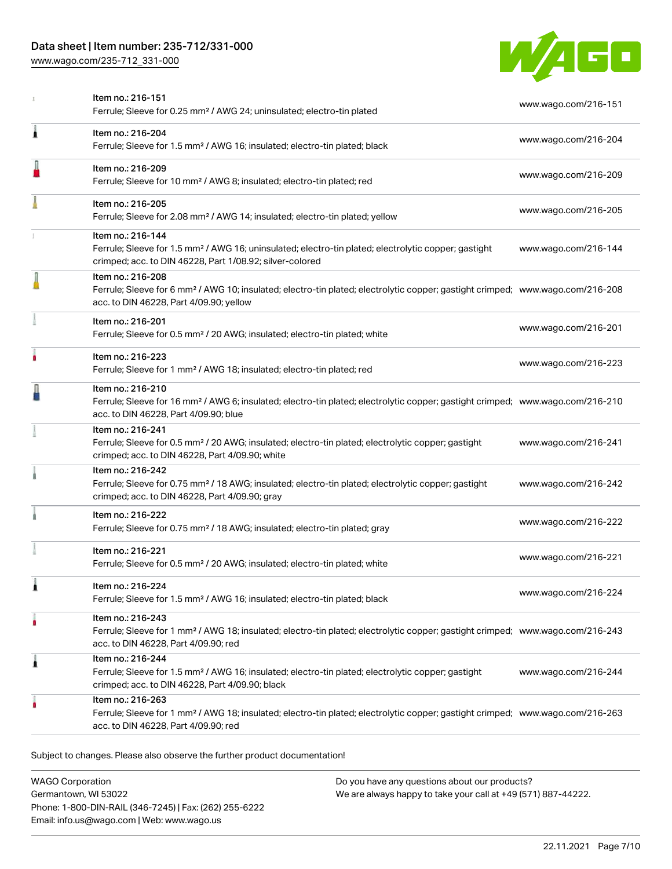# Data sheet | Item number: 235-712/331-000

[www.wago.com/235-712\\_331-000](http://www.wago.com/235-712_331-000)



|   | Item no.: 216-151<br>Ferrule; Sleeve for 0.25 mm <sup>2</sup> / AWG 24; uninsulated; electro-tin plated                                                                                                    | www.wago.com/216-151 |
|---|------------------------------------------------------------------------------------------------------------------------------------------------------------------------------------------------------------|----------------------|
| 1 | Item no.: 216-204<br>Ferrule; Sleeve for 1.5 mm <sup>2</sup> / AWG 16; insulated; electro-tin plated; black                                                                                                | www.wago.com/216-204 |
|   | Item no.: 216-209<br>Ferrule; Sleeve for 10 mm <sup>2</sup> / AWG 8; insulated; electro-tin plated; red                                                                                                    | www.wago.com/216-209 |
|   | Item no.: 216-205<br>Ferrule; Sleeve for 2.08 mm <sup>2</sup> / AWG 14; insulated; electro-tin plated; yellow                                                                                              | www.wago.com/216-205 |
|   | Item no.: 216-144<br>Ferrule; Sleeve for 1.5 mm <sup>2</sup> / AWG 16; uninsulated; electro-tin plated; electrolytic copper; gastight<br>crimped; acc. to DIN 46228, Part 1/08.92; silver-colored          | www.wago.com/216-144 |
|   | Item no.: 216-208<br>Ferrule; Sleeve for 6 mm <sup>2</sup> / AWG 10; insulated; electro-tin plated; electrolytic copper; gastight crimped; www.wago.com/216-208<br>acc. to DIN 46228, Part 4/09.90; yellow |                      |
|   | Item no.: 216-201<br>Ferrule; Sleeve for 0.5 mm <sup>2</sup> / 20 AWG; insulated; electro-tin plated; white                                                                                                | www.wago.com/216-201 |
| ۸ | Item no.: 216-223<br>Ferrule; Sleeve for 1 mm <sup>2</sup> / AWG 18; insulated; electro-tin plated; red                                                                                                    | www.wago.com/216-223 |
|   | Item no.: 216-210<br>Ferrule; Sleeve for 16 mm <sup>2</sup> / AWG 6; insulated; electro-tin plated; electrolytic copper; gastight crimped; www.wago.com/216-210<br>acc. to DIN 46228, Part 4/09.90; blue   |                      |
|   | Item no.: 216-241<br>Ferrule; Sleeve for 0.5 mm <sup>2</sup> / 20 AWG; insulated; electro-tin plated; electrolytic copper; gastight<br>crimped; acc. to DIN 46228, Part 4/09.90; white                     | www.wago.com/216-241 |
|   | Item no.: 216-242<br>Ferrule; Sleeve for 0.75 mm <sup>2</sup> / 18 AWG; insulated; electro-tin plated; electrolytic copper; gastight<br>crimped; acc. to DIN 46228, Part 4/09.90; gray                     | www.wago.com/216-242 |
|   | Item no.: 216-222<br>Ferrule; Sleeve for 0.75 mm <sup>2</sup> / 18 AWG; insulated; electro-tin plated; gray                                                                                                | www.wago.com/216-222 |
|   | Item no.: 216-221<br>Ferrule; Sleeve for 0.5 mm <sup>2</sup> / 20 AWG; insulated; electro-tin plated; white                                                                                                | www.wago.com/216-221 |
| Â | Item no.: 216-224<br>Ferrule; Sleeve for 1.5 mm <sup>2</sup> / AWG 16; insulated; electro-tin plated; black                                                                                                | www.wago.com/216-224 |
| ۸ | Item no.: 216-243<br>Ferrule; Sleeve for 1 mm <sup>2</sup> / AWG 18; insulated; electro-tin plated; electrolytic copper; gastight crimped; www.wago.com/216-243<br>acc. to DIN 46228, Part 4/09.90; red    |                      |
| 1 | Item no.: 216-244<br>Ferrule; Sleeve for 1.5 mm <sup>2</sup> / AWG 16; insulated; electro-tin plated; electrolytic copper; gastight<br>crimped; acc. to DIN 46228, Part 4/09.90; black                     | www.wago.com/216-244 |
| ۵ | Item no.: 216-263<br>Ferrule; Sleeve for 1 mm <sup>2</sup> / AWG 18; insulated; electro-tin plated; electrolytic copper; gastight crimped; www.wago.com/216-263<br>acc. to DIN 46228, Part 4/09.90; red    |                      |

WAGO Corporation Germantown, WI 53022 Phone: 1-800-DIN-RAIL (346-7245) | Fax: (262) 255-6222 Email: info.us@wago.com | Web: www.wago.us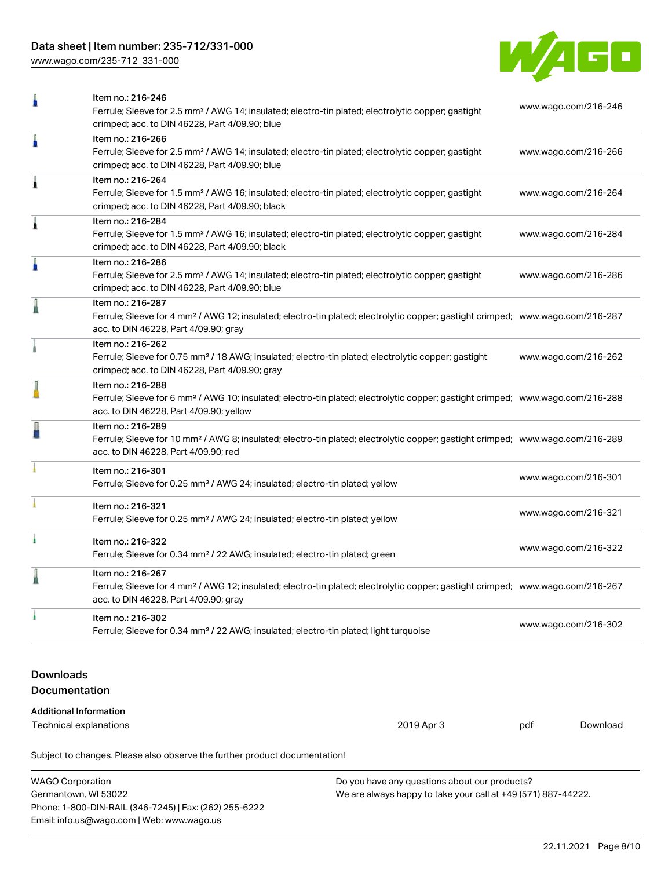# Data sheet | Item number: 235-712/331-000

[www.wago.com/235-712\\_331-000](http://www.wago.com/235-712_331-000)



|                                          | Item no.: 216-246<br>Ferrule; Sleeve for 2.5 mm <sup>2</sup> / AWG 14; insulated; electro-tin plated; electrolytic copper; gastight<br>crimped; acc. to DIN 46228, Part 4/09.90; blue                      |            | www.wago.com/216-246 |          |
|------------------------------------------|------------------------------------------------------------------------------------------------------------------------------------------------------------------------------------------------------------|------------|----------------------|----------|
| ñ                                        | Item no.: 216-266<br>Ferrule; Sleeve for 2.5 mm <sup>2</sup> / AWG 14; insulated; electro-tin plated; electrolytic copper; gastight<br>crimped; acc. to DIN 46228, Part 4/09.90; blue                      |            | www.wago.com/216-266 |          |
| 1                                        | Item no.: 216-264<br>Ferrule; Sleeve for 1.5 mm <sup>2</sup> / AWG 16; insulated; electro-tin plated; electrolytic copper; gastight<br>crimped; acc. to DIN 46228, Part 4/09.90; black                     |            | www.wago.com/216-264 |          |
| 1                                        | Item no.: 216-284<br>Ferrule; Sleeve for 1.5 mm <sup>2</sup> / AWG 16; insulated; electro-tin plated; electrolytic copper; gastight<br>crimped; acc. to DIN 46228, Part 4/09.90; black                     |            | www.wago.com/216-284 |          |
| n                                        | Item no.: 216-286<br>Ferrule; Sleeve for 2.5 mm <sup>2</sup> / AWG 14; insulated; electro-tin plated; electrolytic copper; gastight<br>crimped; acc. to DIN 46228, Part 4/09.90; blue                      |            | www.wago.com/216-286 |          |
|                                          | Item no.: 216-287<br>Ferrule; Sleeve for 4 mm <sup>2</sup> / AWG 12; insulated; electro-tin plated; electrolytic copper; gastight crimped; www.wago.com/216-287<br>acc. to DIN 46228, Part 4/09.90; gray   |            |                      |          |
|                                          | Item no.: 216-262<br>Ferrule; Sleeve for 0.75 mm <sup>2</sup> / 18 AWG; insulated; electro-tin plated; electrolytic copper; gastight<br>crimped; acc. to DIN 46228, Part 4/09.90; gray                     |            | www.wago.com/216-262 |          |
|                                          | Item no.: 216-288<br>Ferrule; Sleeve for 6 mm <sup>2</sup> / AWG 10; insulated; electro-tin plated; electrolytic copper; gastight crimped; www.wago.com/216-288<br>acc. to DIN 46228, Part 4/09.90; yellow |            |                      |          |
|                                          | Item no.: 216-289<br>Ferrule; Sleeve for 10 mm <sup>2</sup> / AWG 8; insulated; electro-tin plated; electrolytic copper; gastight crimped; www.wago.com/216-289<br>acc. to DIN 46228, Part 4/09.90; red    |            |                      |          |
|                                          | Item no.: 216-301<br>Ferrule; Sleeve for 0.25 mm <sup>2</sup> / AWG 24; insulated; electro-tin plated; yellow                                                                                              |            | www.wago.com/216-301 |          |
|                                          | Item no.: 216-321<br>Ferrule; Sleeve for 0.25 mm <sup>2</sup> / AWG 24; insulated; electro-tin plated; yellow                                                                                              |            | www.wago.com/216-321 |          |
|                                          | Item no.: 216-322<br>Ferrule; Sleeve for 0.34 mm <sup>2</sup> / 22 AWG; insulated; electro-tin plated; green                                                                                               |            | www.wago.com/216-322 |          |
|                                          | Item no.: 216-267<br>Ferrule; Sleeve for 4 mm <sup>2</sup> / AWG 12; insulated; electro-tin plated; electrolytic copper; gastight crimped; www.wago.com/216-267<br>acc. to DIN 46228, Part 4/09.90; gray   |            |                      |          |
|                                          | Item no.: 216-302<br>Ferrule; Sleeve for 0.34 mm <sup>2</sup> / 22 AWG; insulated; electro-tin plated; light turquoise                                                                                     |            | www.wago.com/216-302 |          |
| <b>Downloads</b><br><b>Documentation</b> |                                                                                                                                                                                                            |            |                      |          |
| <b>Additional Information</b>            |                                                                                                                                                                                                            |            |                      |          |
| Technical explanations                   |                                                                                                                                                                                                            | 2019 Apr 3 | pdf                  | Download |
|                                          | Subject to changes. Please also observe the further product documentation!                                                                                                                                 |            |                      |          |

| <b>WAGO Corporation</b>                                | Do you have any questions about our products?                 |
|--------------------------------------------------------|---------------------------------------------------------------|
| Germantown, WI 53022                                   | We are always happy to take your call at +49 (571) 887-44222. |
| Phone: 1-800-DIN-RAIL (346-7245)   Fax: (262) 255-6222 |                                                               |
| Email: info.us@wago.com   Web: www.wago.us             |                                                               |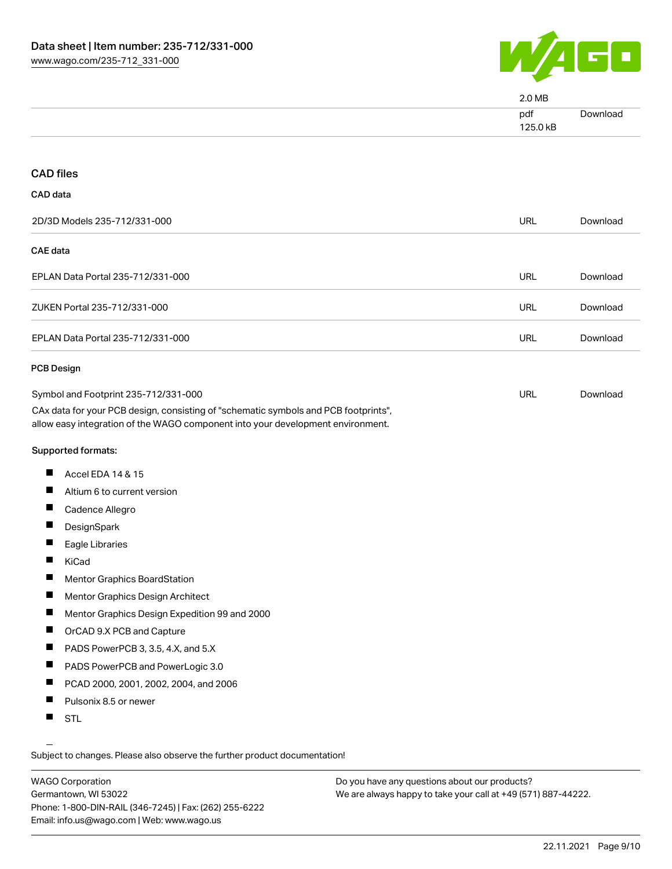

|                                                                                                                                                                        | 2.0 MB          |          |
|------------------------------------------------------------------------------------------------------------------------------------------------------------------------|-----------------|----------|
|                                                                                                                                                                        | pdf<br>125.0 kB | Download |
|                                                                                                                                                                        |                 |          |
| <b>CAD files</b>                                                                                                                                                       |                 |          |
| CAD data                                                                                                                                                               |                 |          |
| 2D/3D Models 235-712/331-000                                                                                                                                           | <b>URL</b>      | Download |
| <b>CAE</b> data                                                                                                                                                        |                 |          |
| EPLAN Data Portal 235-712/331-000                                                                                                                                      | URL             | Download |
| ZUKEN Portal 235-712/331-000                                                                                                                                           | <b>URL</b>      | Download |
| EPLAN Data Portal 235-712/331-000                                                                                                                                      | <b>URL</b>      | Download |
| <b>PCB Design</b>                                                                                                                                                      |                 |          |
| Symbol and Footprint 235-712/331-000                                                                                                                                   | <b>URL</b>      | Download |
| CAx data for your PCB design, consisting of "schematic symbols and PCB footprints",<br>allow easy integration of the WAGO component into your development environment. |                 |          |
| Supported formats:                                                                                                                                                     |                 |          |
| ш<br>Accel EDA 14 & 15                                                                                                                                                 |                 |          |
| L<br>Altium 6 to current version                                                                                                                                       |                 |          |
| ш<br>Cadence Allegro                                                                                                                                                   |                 |          |
| ш<br>DesignSpark                                                                                                                                                       |                 |          |
| Eagle Libraries                                                                                                                                                        |                 |          |
| KiCad                                                                                                                                                                  |                 |          |
| Mentor Graphics BoardStation                                                                                                                                           |                 |          |
| ш<br>Mentor Graphics Design Architect                                                                                                                                  |                 |          |
| ш<br>Mentor Graphics Design Expedition 99 and 2000                                                                                                                     |                 |          |
| ш<br>OrCAD 9.X PCB and Capture                                                                                                                                         |                 |          |
| ш<br>PADS PowerPCB 3, 3.5, 4.X, and 5.X                                                                                                                                |                 |          |
| ш<br>PADS PowerPCB and PowerLogic 3.0                                                                                                                                  |                 |          |
| Ш<br>PCAD 2000, 2001, 2002, 2004, and 2006                                                                                                                             |                 |          |
| ш<br>Pulsonix 8.5 or newer                                                                                                                                             |                 |          |
| ш<br><b>STL</b>                                                                                                                                                        |                 |          |

Subject to changes. Please also observe the further product documentation!

WAGO Corporation Germantown, WI 53022 Phone: 1-800-DIN-RAIL (346-7245) | Fax: (262) 255-6222 Email: info.us@wago.com | Web: www.wago.us